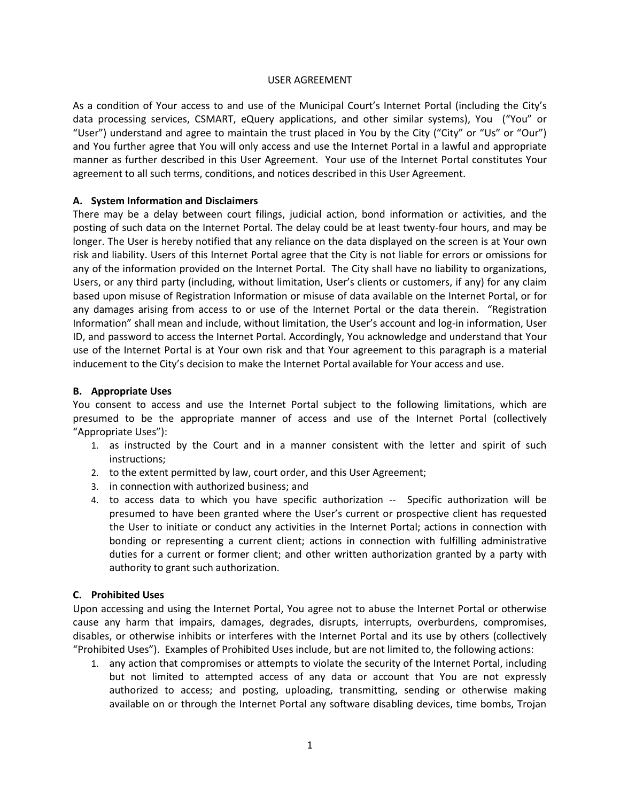#### USER AGREEMENT

As a condition of Your access to and use of the Municipal Court's Internet Portal (including the City's data processing services, CSMART, eQuery applications, and other similar systems), You ("You" or "User") understand and agree to maintain the trust placed in You by the City ("City" or "Us" or "Our") and You further agree that You will only access and use the Internet Portal in a lawful and appropriate manner as further described in this User Agreement. Your use of the Internet Portal constitutes Your agreement to all such terms, conditions, and notices described in this User Agreement.

#### **A. System Information and Disclaimers**

There may be a delay between court filings, judicial action, bond information or activities, and the posting of such data on the Internet Portal. The delay could be at least twenty-four hours, and may be longer. The User is hereby notified that any reliance on the data displayed on the screen is at Your own risk and liability. Users of this Internet Portal agree that the City is not liable for errors or omissions for any of the information provided on the Internet Portal. The City shall have no liability to organizations, Users, or any third party (including, without limitation, User's clients or customers, if any) for any claim based upon misuse of Registration Information or misuse of data available on the Internet Portal, or for any damages arising from access to or use of the Internet Portal or the data therein. "Registration Information" shall mean and include, without limitation, the User's account and log-in information, User ID, and password to access the Internet Portal. Accordingly, You acknowledge and understand that Your use of the Internet Portal is at Your own risk and that Your agreement to this paragraph is a material inducement to the City's decision to make the Internet Portal available for Your access and use.

### **B. Appropriate Uses**

You consent to access and use the Internet Portal subject to the following limitations, which are presumed to be the appropriate manner of access and use of the Internet Portal (collectively "Appropriate Uses"):

- 1. as instructed by the Court and in a manner consistent with the letter and spirit of such instructions;
- 2. to the extent permitted by law, court order, and this User Agreement;
- 3. in connection with authorized business; and
- 4. to access data to which you have specific authorization -- Specific authorization will be presumed to have been granted where the User's current or prospective client has requested the User to initiate or conduct any activities in the Internet Portal; actions in connection with bonding or representing a current client; actions in connection with fulfilling administrative duties for a current or former client; and other written authorization granted by a party with authority to grant such authorization.

#### **C. Prohibited Uses**

Upon accessing and using the Internet Portal, You agree not to abuse the Internet Portal or otherwise cause any harm that impairs, damages, degrades, disrupts, interrupts, overburdens, compromises, disables, or otherwise inhibits or interferes with the Internet Portal and its use by others (collectively "Prohibited Uses"). Examples of Prohibited Uses include, but are not limited to, the following actions:

1. any action that compromises or attempts to violate the security of the Internet Portal, including but not limited to attempted access of any data or account that You are not expressly authorized to access; and posting, uploading, transmitting, sending or otherwise making available on or through the Internet Portal any software disabling devices, time bombs, Trojan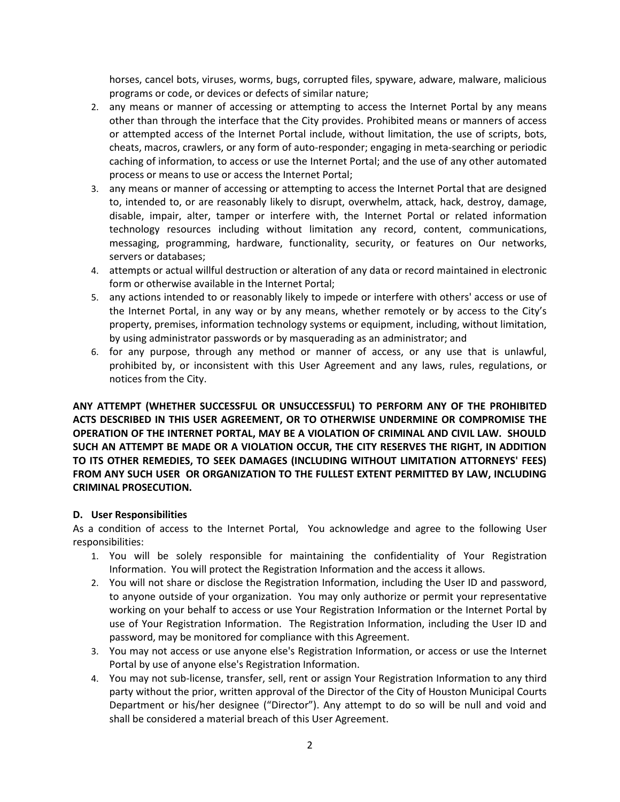horses, cancel bots, viruses, worms, bugs, corrupted files, spyware, adware, malware, malicious programs or code, or devices or defects of similar nature;

- 2. any means or manner of accessing or attempting to access the Internet Portal by any means other than through the interface that the City provides. Prohibited means or manners of access or attempted access of the Internet Portal include, without limitation, the use of scripts, bots, cheats, macros, crawlers, or any form of auto-responder; engaging in meta-searching or periodic caching of information, to access or use the Internet Portal; and the use of any other automated process or means to use or access the Internet Portal;
- 3. any means or manner of accessing or attempting to access the Internet Portal that are designed to, intended to, or are reasonably likely to disrupt, overwhelm, attack, hack, destroy, damage, disable, impair, alter, tamper or interfere with, the Internet Portal or related information technology resources including without limitation any record, content, communications, messaging, programming, hardware, functionality, security, or features on Our networks, servers or databases;
- 4. attempts or actual willful destruction or alteration of any data or record maintained in electronic form or otherwise available in the Internet Portal;
- 5. any actions intended to or reasonably likely to impede or interfere with others' access or use of the Internet Portal, in any way or by any means, whether remotely or by access to the City's property, premises, information technology systems or equipment, including, without limitation, by using administrator passwords or by masquerading as an administrator; and
- 6. for any purpose, through any method or manner of access, or any use that is unlawful, prohibited by, or inconsistent with this User Agreement and any laws, rules, regulations, or notices from the City.

**ANY ATTEMPT (WHETHER SUCCESSFUL OR UNSUCCESSFUL) TO PERFORM ANY OF THE PROHIBITED ACTS DESCRIBED IN THIS USER AGREEMENT, OR TO OTHERWISE UNDERMINE OR COMPROMISE THE OPERATION OF THE INTERNET PORTAL, MAY BE A VIOLATION OF CRIMINAL AND CIVIL LAW. SHOULD SUCH AN ATTEMPT BE MADE OR A VIOLATION OCCUR, THE CITY RESERVES THE RIGHT, IN ADDITION TO ITS OTHER REMEDIES, TO SEEK DAMAGES (INCLUDING WITHOUT LIMITATION ATTORNEYS' FEES) FROM ANY SUCH USER OR ORGANIZATION TO THE FULLEST EXTENT PERMITTED BY LAW, INCLUDING CRIMINAL PROSECUTION.**

#### **D. User Responsibilities**

As a condition of access to the Internet Portal, You acknowledge and agree to the following User responsibilities:

- 1. You will be solely responsible for maintaining the confidentiality of Your Registration Information. You will protect the Registration Information and the access it allows.
- 2. You will not share or disclose the Registration Information, including the User ID and password, to anyone outside of your organization. You may only authorize or permit your representative working on your behalf to access or use Your Registration Information or the Internet Portal by use of Your Registration Information. The Registration Information, including the User ID and password, may be monitored for compliance with this Agreement.
- 3. You may not access or use anyone else's Registration Information, or access or use the Internet Portal by use of anyone else's Registration Information.
- 4. You may not sub-license, transfer, sell, rent or assign Your Registration Information to any third party without the prior, written approval of the Director of the City of Houston Municipal Courts Department or his/her designee ("Director"). Any attempt to do so will be null and void and shall be considered a material breach of this User Agreement.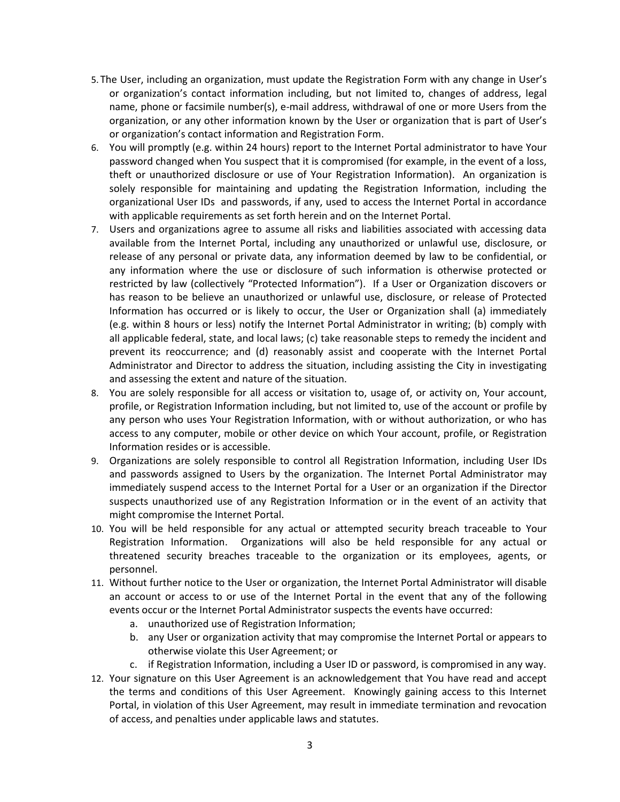- 5. The User, including an organization, must update the Registration Form with any change in User's or organization's contact information including, but not limited to, changes of address, legal name, phone or facsimile number(s), e-mail address, withdrawal of one or more Users from the organization, or any other information known by the User or organization that is part of User's or organization's contact information and Registration Form.
- 6. You will promptly (e.g. within 24 hours) report to the Internet Portal administrator to have Your password changed when You suspect that it is compromised (for example, in the event of a loss, theft or unauthorized disclosure or use of Your Registration Information). An organization is solely responsible for maintaining and updating the Registration Information, including the organizational User IDs and passwords, if any, used to access the Internet Portal in accordance with applicable requirements as set forth herein and on the Internet Portal.
- 7. Users and organizations agree to assume all risks and liabilities associated with accessing data available from the Internet Portal, including any unauthorized or unlawful use, disclosure, or release of any personal or private data, any information deemed by law to be confidential, or any information where the use or disclosure of such information is otherwise protected or restricted by law (collectively "Protected Information"). If a User or Organization discovers or has reason to be believe an unauthorized or unlawful use, disclosure, or release of Protected Information has occurred or is likely to occur, the User or Organization shall (a) immediately (e.g. within 8 hours or less) notify the Internet Portal Administrator in writing; (b) comply with all applicable federal, state, and local laws; (c) take reasonable steps to remedy the incident and prevent its reoccurrence; and (d) reasonably assist and cooperate with the Internet Portal Administrator and Director to address the situation, including assisting the City in investigating and assessing the extent and nature of the situation.
- 8. You are solely responsible for all access or visitation to, usage of, or activity on, Your account, profile, or Registration Information including, but not limited to, use of the account or profile by any person who uses Your Registration Information, with or without authorization, or who has access to any computer, mobile or other device on which Your account, profile, or Registration Information resides or is accessible.
- 9. Organizations are solely responsible to control all Registration Information, including User IDs and passwords assigned to Users by the organization. The Internet Portal Administrator may immediately suspend access to the Internet Portal for a User or an organization if the Director suspects unauthorized use of any Registration Information or in the event of an activity that might compromise the Internet Portal.
- 10. You will be held responsible for any actual or attempted security breach traceable to Your Registration Information. Organizations will also be held responsible for any actual or threatened security breaches traceable to the organization or its employees, agents, or personnel.
- 11. Without further notice to the User or organization, the Internet Portal Administrator will disable an account or access to or use of the Internet Portal in the event that any of the following events occur or the Internet Portal Administrator suspects the events have occurred:
	- a. unauthorized use of Registration Information;
	- b. any User or organization activity that may compromise the Internet Portal or appears to otherwise violate this User Agreement; or
	- c. if Registration Information, including a User ID or password, is compromised in any way.
- 12. Your signature on this User Agreement is an acknowledgement that You have read and accept the terms and conditions of this User Agreement. Knowingly gaining access to this Internet Portal, in violation of this User Agreement, may result in immediate termination and revocation of access, and penalties under applicable laws and statutes.